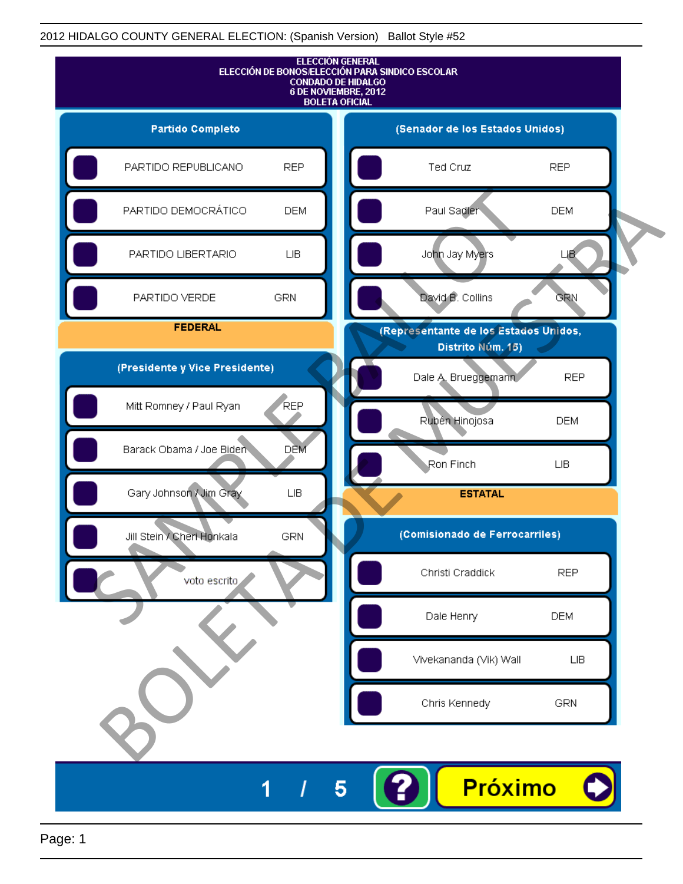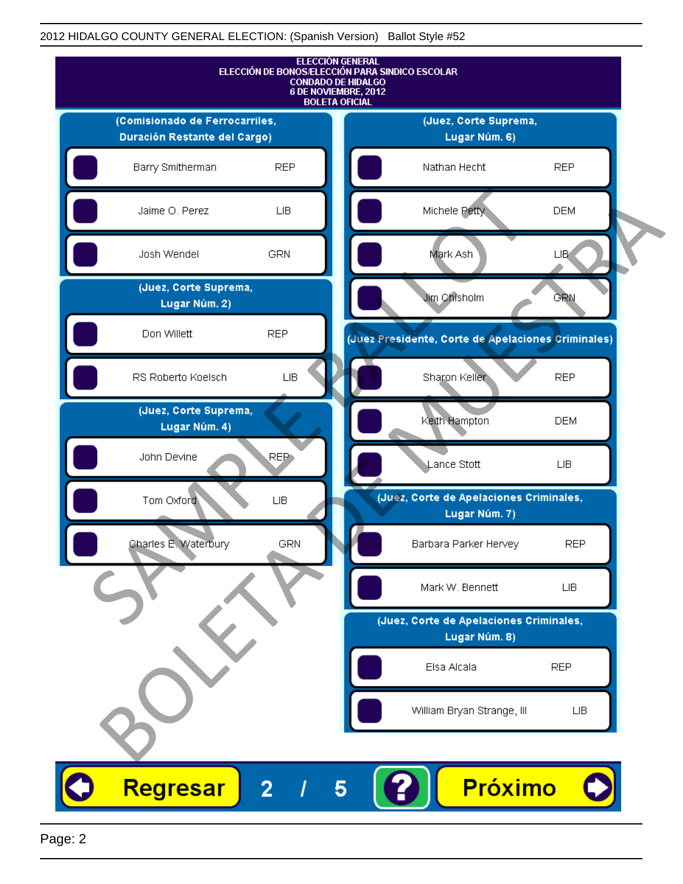

Page: 2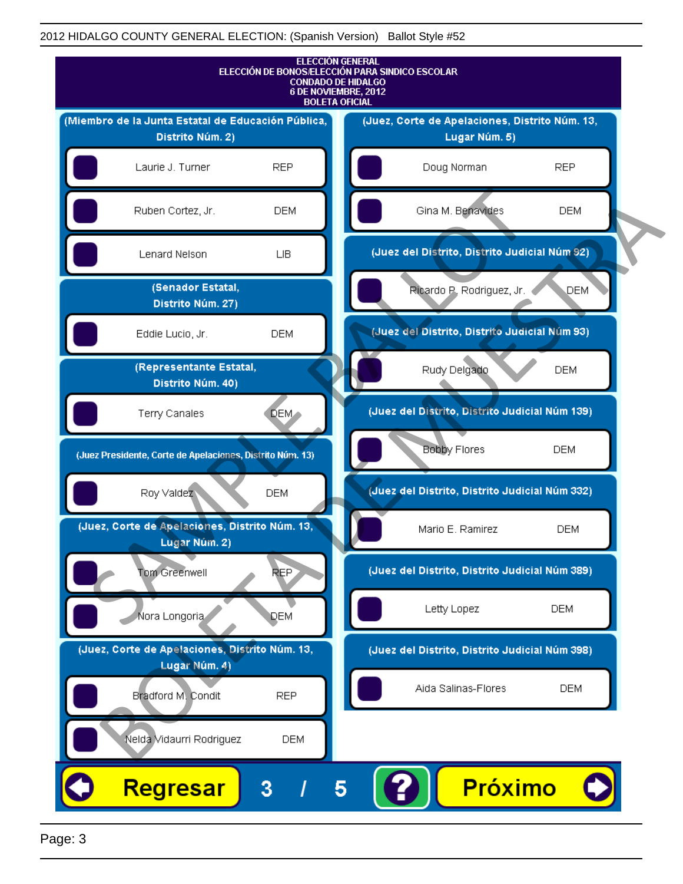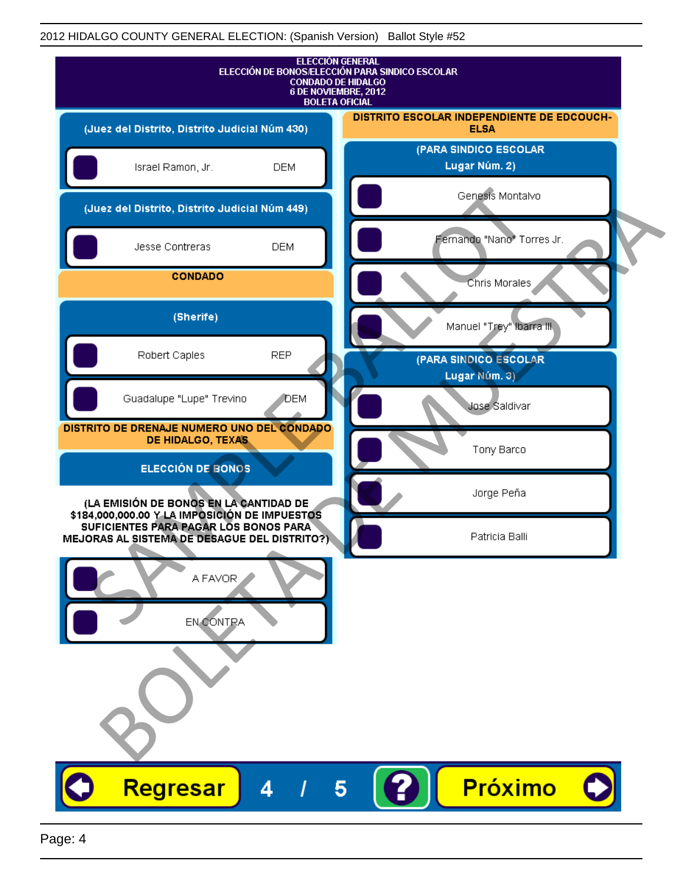| <b>ELECCIÓN GENERAL</b><br>ELECCIÓN DE BONOS/ELECCIÓN PARA SINDICO ESCOLAR<br><b>CONDADO DE HIDALGO</b><br>6 DE NOVIEMBRE, 2012<br><b>BOLETA OFICIAL</b> |                                                           |
|----------------------------------------------------------------------------------------------------------------------------------------------------------|-----------------------------------------------------------|
| (Juez del Distrito, Distrito Judicial Núm 430)                                                                                                           | DISTRITO ESCOLAR INDEPENDIENTE DE EDCOUCH-<br><b>ELSA</b> |
| Israel Ramon, Jr.<br><b>DEM</b>                                                                                                                          | (PARA SINDICO ESCOLAR<br>Lugar Núm. 2)                    |
| (Juez del Distrito, Distrito Judicial Núm 449)                                                                                                           | Genesis Montalvo                                          |
| <b>DEM</b><br>Jesse Contreras                                                                                                                            | Fernando "Nano" Torres Jr.                                |
| <b>CONDADO</b>                                                                                                                                           | Chris Morales                                             |
| (Sherife)                                                                                                                                                | Manuel "Trey" Ibarra III.                                 |
| Robert Caples<br><b>REP</b>                                                                                                                              | (PARA SINDICO ESCOLAR<br>Lugar Núm. 3)                    |
| Guadalupe "Lupe" Trevino<br>DEM                                                                                                                          | Jose Saldivar                                             |
| DISTRITO DE DRENAJE NUMERO UNO DEL CONDADO<br>DE HIDALGO, TEXAS                                                                                          | Tony Barco                                                |
| ELECCIÓN DE BONOS                                                                                                                                        |                                                           |
| (LA EMISIÓN DE BONOS EN LA CANTIDAD DE<br>\$184,000,000.00 Y LA IMPOSICIÓN DE IMPUESTOS<br>SUFICIENTES PARA PAGAR LOS BONOS PARA                         | Jorge Peña                                                |
| MEJORAS AL SISTEMA DE DESAGUE DEL DISTRITO?)<br>A FAVOR<br>EN CONTRA                                                                                     | Patricia Balli                                            |
| Regresar<br>4                                                                                                                                            | Próximo<br>$\vert 5 \vert$                                |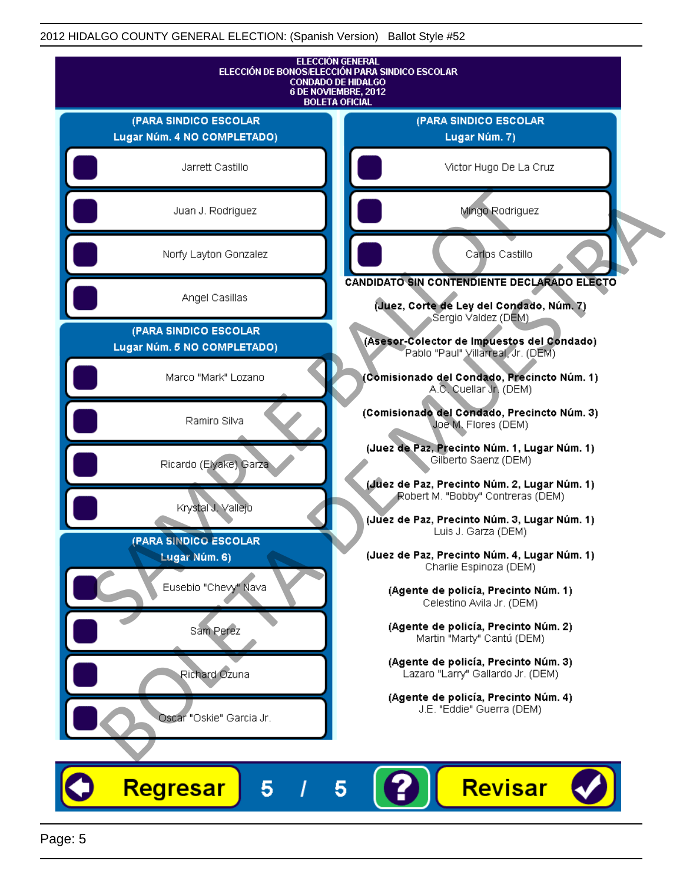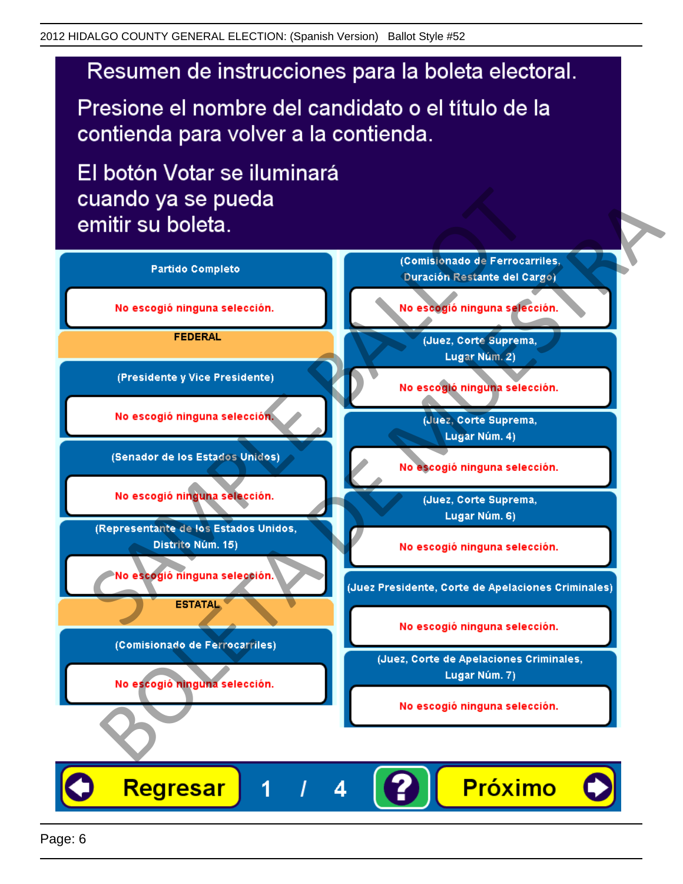Presione el nombre del candidato o el título de la contienda para volver a la contienda.

El botón Votar se iluminará

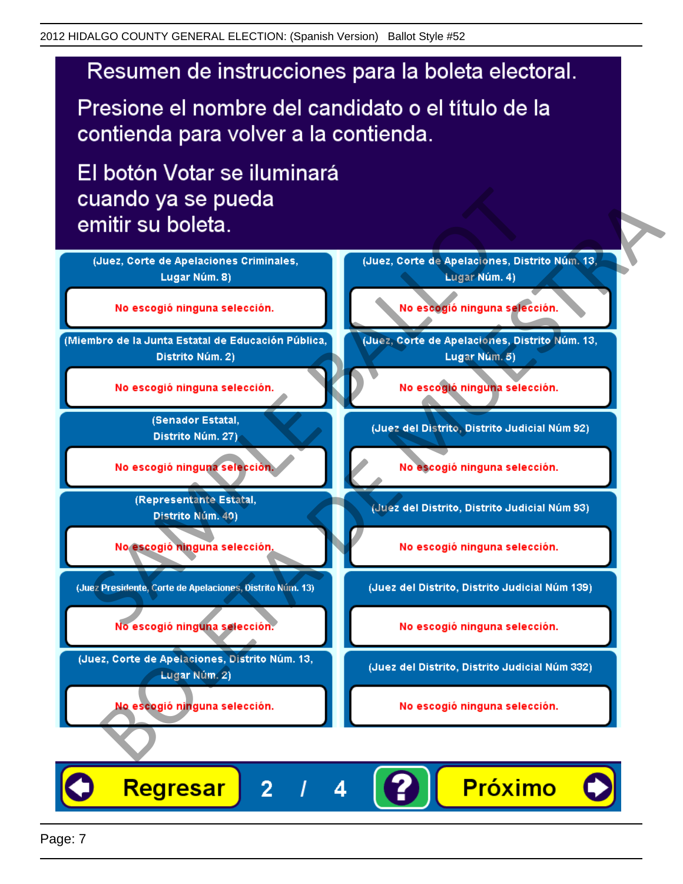Presione el nombre del candidato o el título de la contienda para volver a la contienda.

El botón Votar se iluminará



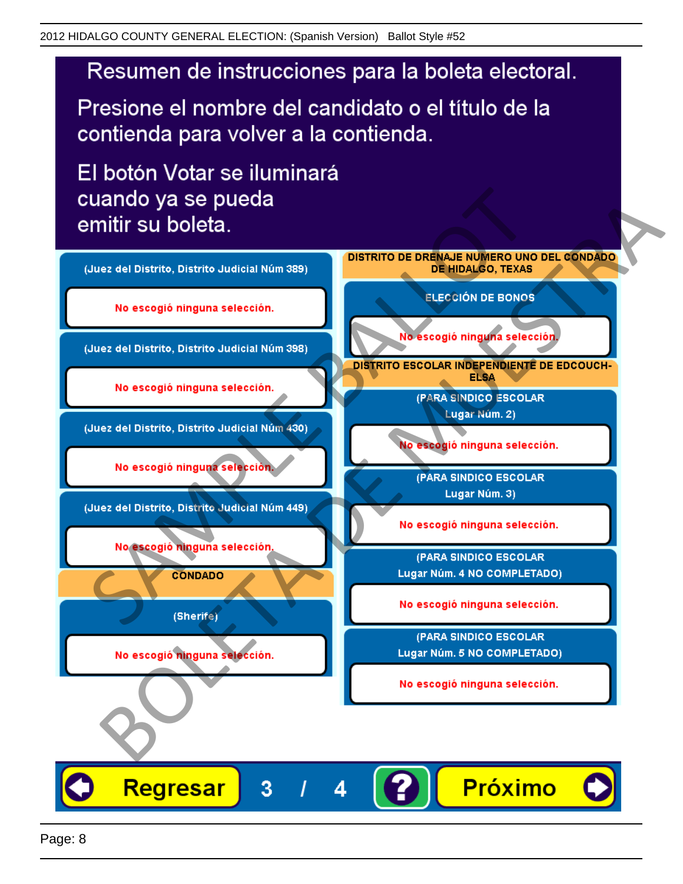Presione el nombre del candidato o el título de la contienda para volver a la contienda.

El botón Votar se iluminará